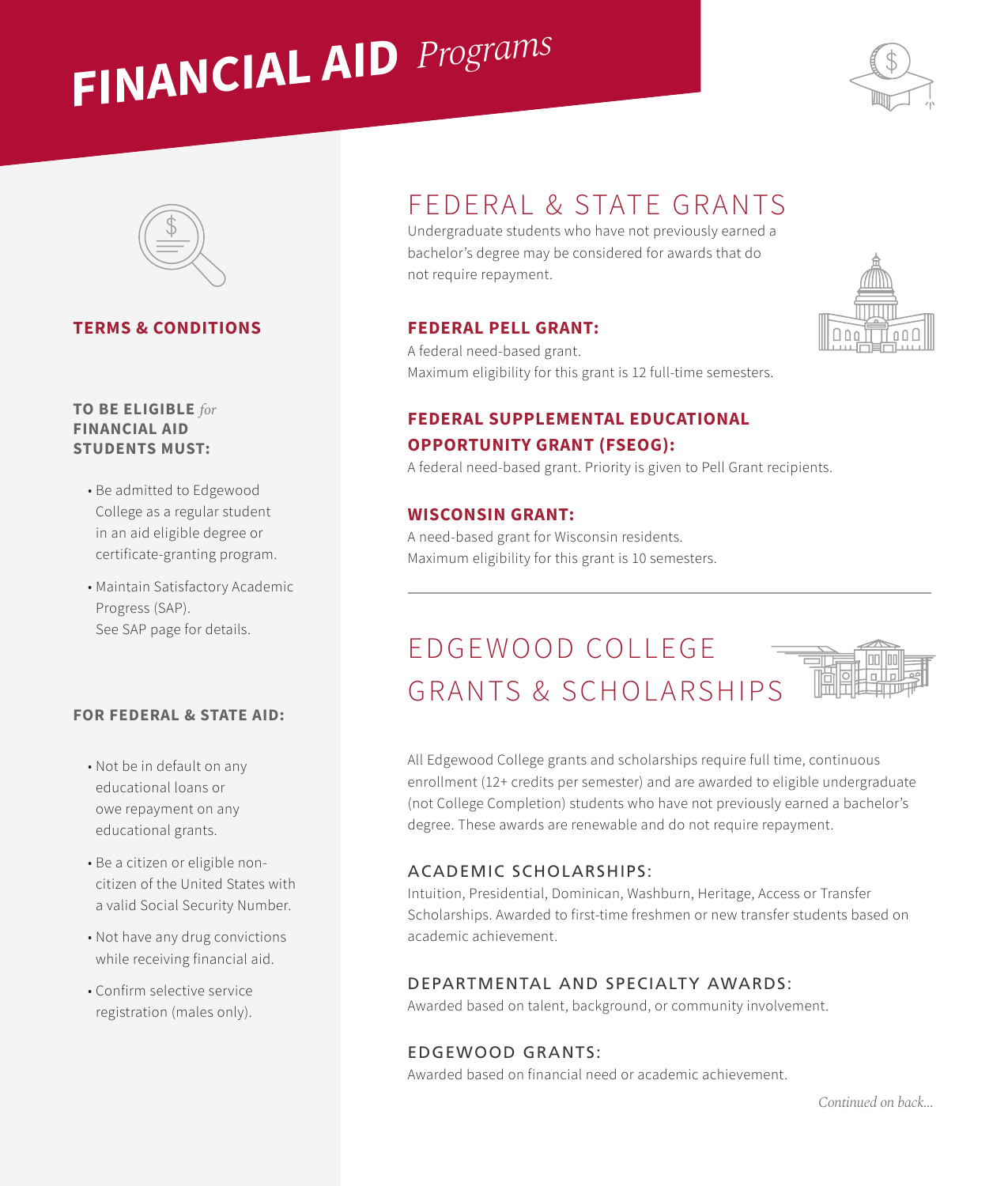# **FINANCIAL AID**  *Programs*





## **TERMS & CONDITIONS**

#### **TO BE ELIGIBLE** *for* **FINANCIAL AID STUDENTS MUST:**

- Be admitted to Edgewood College as a regular student in an aid eligible degree or certificate-granting program.
- Maintain Satisfactory Academic Progress (SAP). See SAP page for details.

#### **FOR FEDERAL & STATE AID:**

- Not be in default on any educational loans or owe repayment on any educational grants.
- Be a citizen or eligible noncitizen of the United States with a valid Social Security Number.
- Not have any drug convictions while receiving financial aid.
- Confirm selective service registration (males only).

## FEDERAL & STATE GRANTS

Undergraduate students who have not previously earned a bachelor's degree may be considered for awards that do not require repayment.

#### **FEDERAL PELL GRANT:**

A federal need-based grant. Maximum eligibility for this grant is 12 full-time semesters.

## **FEDERAL SUPPLEMENTAL EDUCATIONAL OPPORTUNITY GRANT (FSEOG):**

A federal need-based grant. Priority is given to Pell Grant recipients.

#### **WISCONSIN GRANT:**

A need-based grant for Wisconsin residents. Maximum eligibility for this grant is 10 semesters.

# E D G E WOOD COLLEGE GRANTS & SCHOLARSHIPS



All Edgewood College grants and scholarships require full time, continuous enrollment (12+ credits per semester) and are awarded to eligible undergraduate (not College Completion) students who have not previously earned a bachelor's degree. These awards are renewable and do not require repayment.

#### ACADEMIC SCHOLARSHIPS:

Intuition, Presidential, Dominican, Washburn, Heritage, Access or Transfer Scholarships. Awarded to first-time freshmen or new transfer students based on academic achievement.

#### DEPARTMENTAL AND SPECIALTY AWARDS:

Awarded based on talent, background, or community involvement.

## EDGEWOOD GRANTS:

Awarded based on financial need or academic achievement.

*Continued on back...*